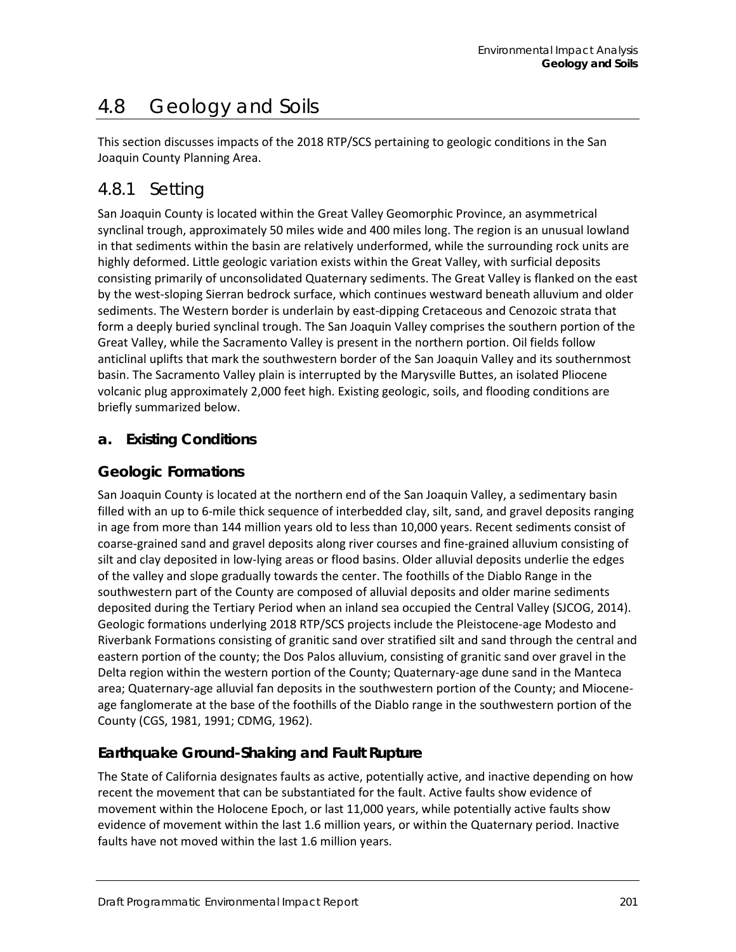# 4.8 Geology and Soils

This section discusses impacts of the 2018 RTP/SCS pertaining to geologic conditions in the San Joaquin County Planning Area.

## 4.8.1 Setting

San Joaquin County is located within the Great Valley Geomorphic Province, an asymmetrical synclinal trough, approximately 50 miles wide and 400 miles long. The region is an unusual lowland in that sediments within the basin are relatively underformed, while the surrounding rock units are highly deformed. Little geologic variation exists within the Great Valley, with surficial deposits consisting primarily of unconsolidated Quaternary sediments. The Great Valley is flanked on the east by the west-sloping Sierran bedrock surface, which continues westward beneath alluvium and older sediments. The Western border is underlain by east-dipping Cretaceous and Cenozoic strata that form a deeply buried synclinal trough. The San Joaquin Valley comprises the southern portion of the Great Valley, while the Sacramento Valley is present in the northern portion. Oil fields follow anticlinal uplifts that mark the southwestern border of the San Joaquin Valley and its southernmost basin. The Sacramento Valley plain is interrupted by the Marysville Buttes, an isolated Pliocene volcanic plug approximately 2,000 feet high. Existing geologic, soils, and flooding conditions are briefly summarized below.

## **a. Existing Conditions**

## **Geologic Formations**

San Joaquin County is located at the northern end of the San Joaquin Valley, a sedimentary basin filled with an up to 6-mile thick sequence of interbedded clay, silt, sand, and gravel deposits ranging in age from more than 144 million years old to less than 10,000 years. Recent sediments consist of coarse-grained sand and gravel deposits along river courses and fine-grained alluvium consisting of silt and clay deposited in low-lying areas or flood basins. Older alluvial deposits underlie the edges of the valley and slope gradually towards the center. The foothills of the Diablo Range in the southwestern part of the County are composed of alluvial deposits and older marine sediments deposited during the Tertiary Period when an inland sea occupied the Central Valley (SJCOG, 2014). Geologic formations underlying 2018 RTP/SCS projects include the Pleistocene-age Modesto and Riverbank Formations consisting of granitic sand over stratified silt and sand through the central and eastern portion of the county; the Dos Palos alluvium, consisting of granitic sand over gravel in the Delta region within the western portion of the County; Quaternary-age dune sand in the Manteca area; Quaternary-age alluvial fan deposits in the southwestern portion of the County; and Mioceneage fanglomerate at the base of the foothills of the Diablo range in the southwestern portion of the County (CGS, 1981, 1991; CDMG, 1962).

## **Earthquake Ground-Shaking and Fault Rupture**

The State of California designates faults as active, potentially active, and inactive depending on how recent the movement that can be substantiated for the fault. Active faults show evidence of movement within the Holocene Epoch, or last 11,000 years, while potentially active faults show evidence of movement within the last 1.6 million years, or within the Quaternary period. Inactive faults have not moved within the last 1.6 million years.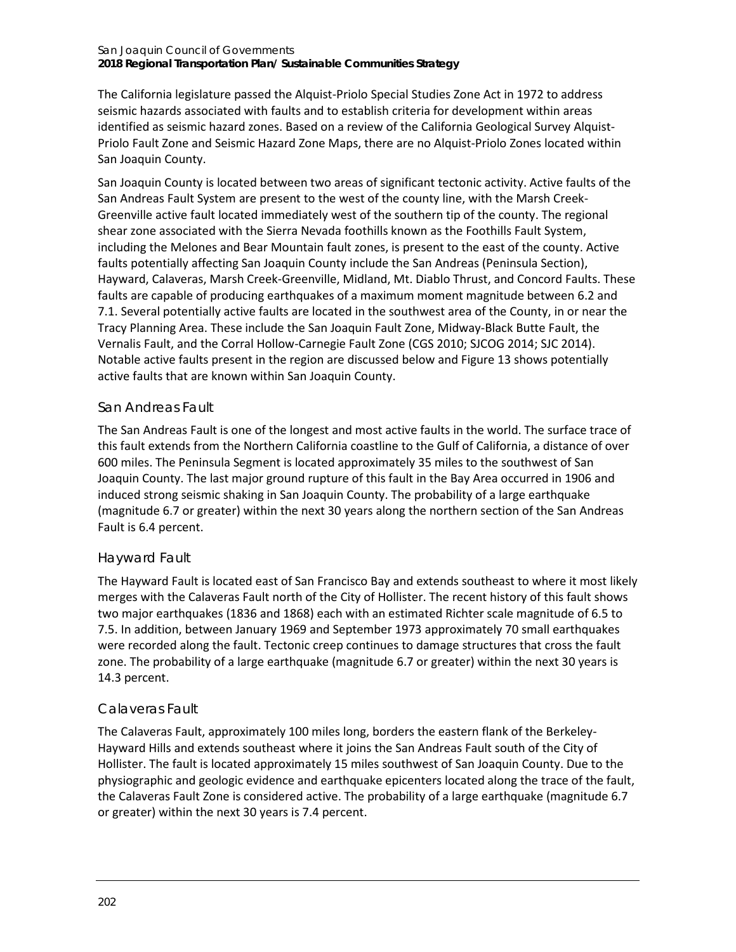#### San Joaquin Council of Governments **2018 Regional Transportation Plan/ Sustainable Communities Strategy**

The California legislature passed the Alquist-Priolo Special Studies Zone Act in 1972 to address seismic hazards associated with faults and to establish criteria for development within areas identified as seismic hazard zones. Based on a review of the California Geological Survey Alquist-Priolo Fault Zone and Seismic Hazard Zone Maps, there are no Alquist-Priolo Zones located within San Joaquin County.

San Joaquin County is located between two areas of significant tectonic activity. Active faults of the San Andreas Fault System are present to the west of the county line, with the Marsh Creek-Greenville active fault located immediately west of the southern tip of the county. The regional shear zone associated with the Sierra Nevada foothills known as the Foothills Fault System, including the Melones and Bear Mountain fault zones, is present to the east of the county. Active faults potentially affecting San Joaquin County include the San Andreas (Peninsula Section), Hayward, Calaveras, Marsh Creek-Greenville, Midland, Mt. Diablo Thrust, and Concord Faults. These faults are capable of producing earthquakes of a maximum moment magnitude between 6.2 and 7.1. Several potentially active faults are located in the southwest area of the County, in or near the Tracy Planning Area. These include the San Joaquin Fault Zone, Midway-Black Butte Fault, the Vernalis Fault, and the Corral Hollow-Carnegie Fault Zone (CGS 2010; SJCOG 2014; SJC 2014). Notable active faults present in the region are discussed below an[d Figure 13](#page-2-0) shows potentially active faults that are known within San Joaquin County.

## *San Andreas Fault*

The San Andreas Fault is one of the longest and most active faults in the world. The surface trace of this fault extends from the Northern California coastline to the Gulf of California, a distance of over 600 miles. The Peninsula Segment is located approximately 35 miles to the southwest of San Joaquin County. The last major ground rupture of this fault in the Bay Area occurred in 1906 and induced strong seismic shaking in San Joaquin County. The probability of a large earthquake (magnitude 6.7 or greater) within the next 30 years along the northern section of the San Andreas Fault is 6.4 percent.

## *Hayward Fault*

The Hayward Fault is located east of San Francisco Bay and extends southeast to where it most likely merges with the Calaveras Fault north of the City of Hollister. The recent history of this fault shows two major earthquakes (1836 and 1868) each with an estimated Richter scale magnitude of 6.5 to 7.5. In addition, between January 1969 and September 1973 approximately 70 small earthquakes were recorded along the fault. Tectonic creep continues to damage structures that cross the fault zone. The probability of a large earthquake (magnitude 6.7 or greater) within the next 30 years is 14.3 percent.

## *Calaveras Fault*

The Calaveras Fault, approximately 100 miles long, borders the eastern flank of the Berkeley-Hayward Hills and extends southeast where it joins the San Andreas Fault south of the City of Hollister. The fault is located approximately 15 miles southwest of San Joaquin County. Due to the physiographic and geologic evidence and earthquake epicenters located along the trace of the fault, the Calaveras Fault Zone is considered active. The probability of a large earthquake (magnitude 6.7 or greater) within the next 30 years is 7.4 percent.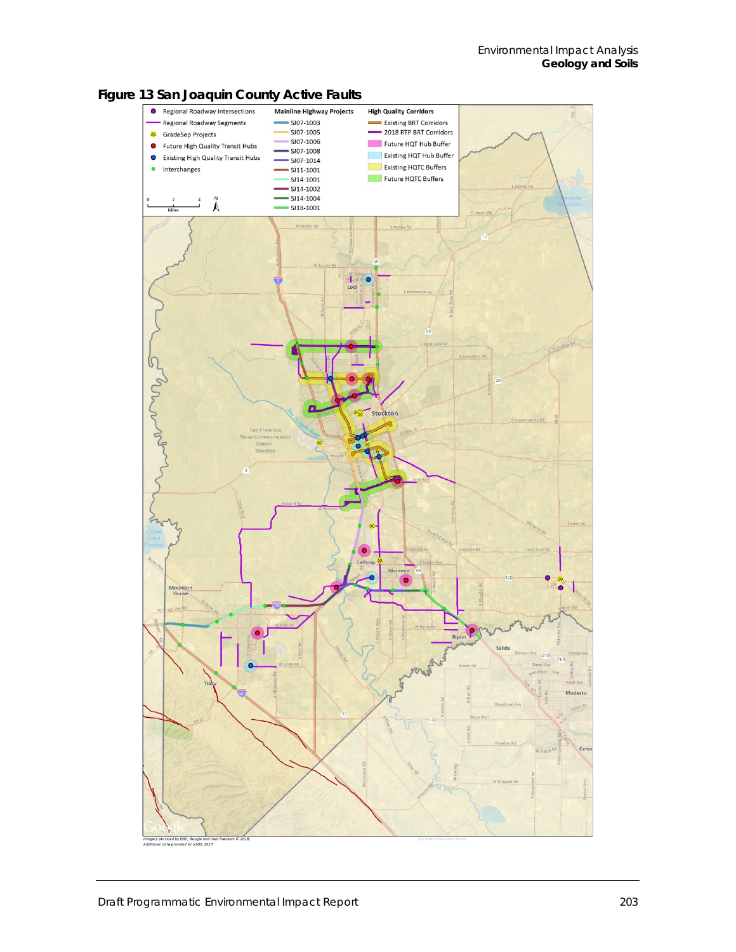

<span id="page-2-0"></span>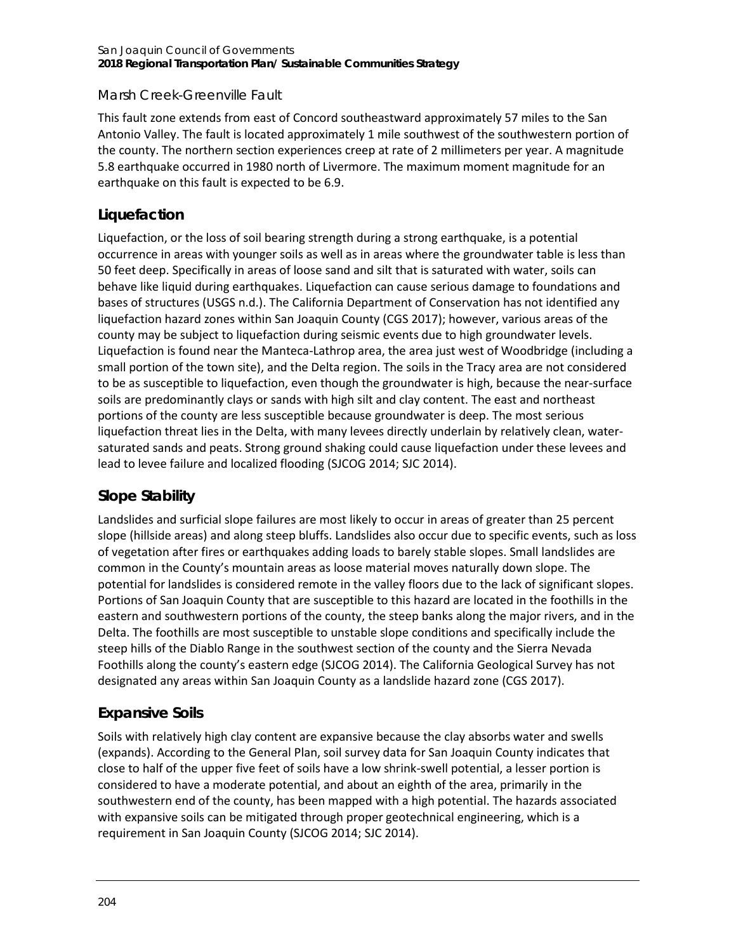#### San Joaquin Council of Governments **2018 Regional Transportation Plan/ Sustainable Communities Strategy**

### *Marsh Creek-Greenville Fault*

This fault zone extends from east of Concord southeastward approximately 57 miles to the San Antonio Valley. The fault is located approximately 1 mile southwest of the southwestern portion of the county. The northern section experiences creep at rate of 2 millimeters per year. A magnitude 5.8 earthquake occurred in 1980 north of Livermore. The maximum moment magnitude for an earthquake on this fault is expected to be 6.9.

## **Liquefaction**

Liquefaction, or the loss of soil bearing strength during a strong earthquake, is a potential occurrence in areas with younger soils as well as in areas where the groundwater table is less than 50 feet deep. Specifically in areas of loose sand and silt that is saturated with water, soils can behave like liquid during earthquakes. Liquefaction can cause serious damage to foundations and bases of structures (USGS n.d.). The California Department of Conservation has not identified any liquefaction hazard zones within San Joaquin County (CGS 2017); however, various areas of the county may be subject to liquefaction during seismic events due to high groundwater levels. Liquefaction is found near the Manteca-Lathrop area, the area just west of Woodbridge (including a small portion of the town site), and the Delta region. The soils in the Tracy area are not considered to be as susceptible to liquefaction, even though the groundwater is high, because the near-surface soils are predominantly clays or sands with high silt and clay content. The east and northeast portions of the county are less susceptible because groundwater is deep. The most serious liquefaction threat lies in the Delta, with many levees directly underlain by relatively clean, watersaturated sands and peats. Strong ground shaking could cause liquefaction under these levees and lead to levee failure and localized flooding (SJCOG 2014; SJC 2014).

## **Slope Stability**

Landslides and surficial slope failures are most likely to occur in areas of greater than 25 percent slope (hillside areas) and along steep bluffs. Landslides also occur due to specific events, such as loss of vegetation after fires or earthquakes adding loads to barely stable slopes. Small landslides are common in the County's mountain areas as loose material moves naturally down slope. The potential for landslides is considered remote in the valley floors due to the lack of significant slopes. Portions of San Joaquin County that are susceptible to this hazard are located in the foothills in the eastern and southwestern portions of the county, the steep banks along the major rivers, and in the Delta. The foothills are most susceptible to unstable slope conditions and specifically include the steep hills of the Diablo Range in the southwest section of the county and the Sierra Nevada Foothills along the county's eastern edge (SJCOG 2014). The California Geological Survey has not designated any areas within San Joaquin County as a landslide hazard zone (CGS 2017).

## **Expansive Soils**

Soils with relatively high clay content are expansive because the clay absorbs water and swells (expands). According to the General Plan, soil survey data for San Joaquin County indicates that close to half of the upper five feet of soils have a low shrink-swell potential, a lesser portion is considered to have a moderate potential, and about an eighth of the area, primarily in the southwestern end of the county, has been mapped with a high potential. The hazards associated with expansive soils can be mitigated through proper geotechnical engineering, which is a requirement in San Joaquin County (SJCOG 2014; SJC 2014).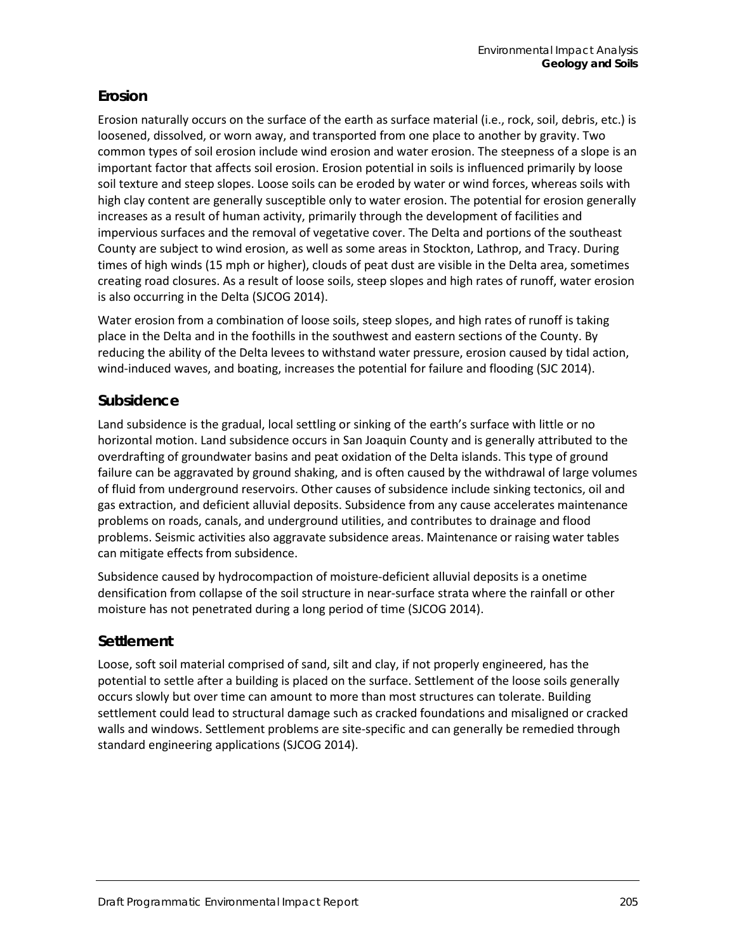## **Erosion**

Erosion naturally occurs on the surface of the earth as surface material (i.e., rock, soil, debris, etc.) is loosened, dissolved, or worn away, and transported from one place to another by gravity. Two common types of soil erosion include wind erosion and water erosion. The steepness of a slope is an important factor that affects soil erosion. Erosion potential in soils is influenced primarily by loose soil texture and steep slopes. Loose soils can be eroded by water or wind forces, whereas soils with high clay content are generally susceptible only to water erosion. The potential for erosion generally increases as a result of human activity, primarily through the development of facilities and impervious surfaces and the removal of vegetative cover. The Delta and portions of the southeast County are subject to wind erosion, as well as some areas in Stockton, Lathrop, and Tracy. During times of high winds (15 mph or higher), clouds of peat dust are visible in the Delta area, sometimes creating road closures. As a result of loose soils, steep slopes and high rates of runoff, water erosion is also occurring in the Delta (SJCOG 2014).

Water erosion from a combination of loose soils, steep slopes, and high rates of runoff is taking place in the Delta and in the foothills in the southwest and eastern sections of the County. By reducing the ability of the Delta levees to withstand water pressure, erosion caused by tidal action, wind-induced waves, and boating, increases the potential for failure and flooding (SJC 2014).

### **Subsidence**

Land subsidence is the gradual, local settling or sinking of the earth's surface with little or no horizontal motion. Land subsidence occurs in San Joaquin County and is generally attributed to the overdrafting of groundwater basins and peat oxidation of the Delta islands. This type of ground failure can be aggravated by ground shaking, and is often caused by the withdrawal of large volumes of fluid from underground reservoirs. Other causes of subsidence include sinking tectonics, oil and gas extraction, and deficient alluvial deposits. Subsidence from any cause accelerates maintenance problems on roads, canals, and underground utilities, and contributes to drainage and flood problems. Seismic activities also aggravate subsidence areas. Maintenance or raising water tables can mitigate effects from subsidence.

Subsidence caused by hydrocompaction of moisture-deficient alluvial deposits is a onetime densification from collapse of the soil structure in near-surface strata where the rainfall or other moisture has not penetrated during a long period of time (SJCOG 2014).

## **Settlement**

Loose, soft soil material comprised of sand, silt and clay, if not properly engineered, has the potential to settle after a building is placed on the surface. Settlement of the loose soils generally occurs slowly but over time can amount to more than most structures can tolerate. Building settlement could lead to structural damage such as cracked foundations and misaligned or cracked walls and windows. Settlement problems are site-specific and can generally be remedied through standard engineering applications (SJCOG 2014).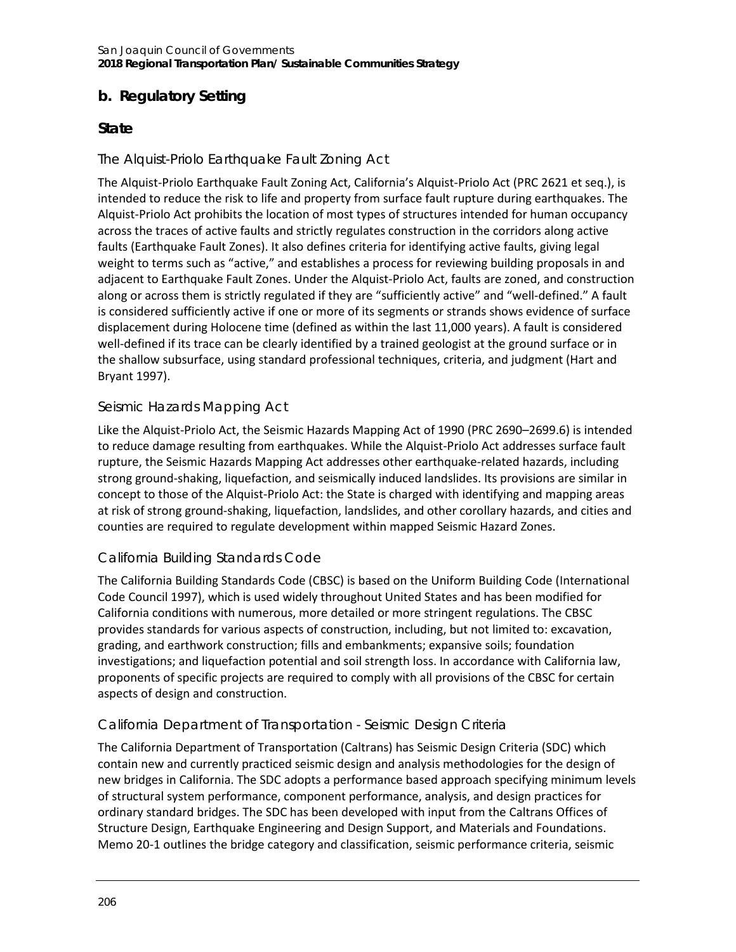## **b. Regulatory Setting**

## **State**

### *The Alquist-Priolo Earthquake Fault Zoning Act*

The Alquist-Priolo Earthquake Fault Zoning Act, California's Alquist-Priolo Act (PRC 2621 et seq.), is intended to reduce the risk to life and property from surface fault rupture during earthquakes. The Alquist-Priolo Act prohibits the location of most types of structures intended for human occupancy across the traces of active faults and strictly regulates construction in the corridors along active faults (Earthquake Fault Zones). It also defines criteria for identifying active faults, giving legal weight to terms such as "active," and establishes a process for reviewing building proposals in and adjacent to Earthquake Fault Zones. Under the Alquist-Priolo Act, faults are zoned, and construction along or across them is strictly regulated if they are "sufficiently active" and "well-defined." A fault is considered sufficiently active if one or more of its segments or strands shows evidence of surface displacement during Holocene time (defined as within the last 11,000 years). A fault is considered well-defined if its trace can be clearly identified by a trained geologist at the ground surface or in the shallow subsurface, using standard professional techniques, criteria, and judgment (Hart and Bryant 1997).

### *Seismic Hazards Mapping Act*

Like the Alquist-Priolo Act, the Seismic Hazards Mapping Act of 1990 (PRC 2690–2699.6) is intended to reduce damage resulting from earthquakes. While the Alquist-Priolo Act addresses surface fault rupture, the Seismic Hazards Mapping Act addresses other earthquake-related hazards, including strong ground-shaking, liquefaction, and seismically induced landslides. Its provisions are similar in concept to those of the Alquist-Priolo Act: the State is charged with identifying and mapping areas at risk of strong ground-shaking, liquefaction, landslides, and other corollary hazards, and cities and counties are required to regulate development within mapped Seismic Hazard Zones.

### *California Building Standards Code*

The California Building Standards Code (CBSC) is based on the Uniform Building Code (International Code Council 1997), which is used widely throughout United States and has been modified for California conditions with numerous, more detailed or more stringent regulations. The CBSC provides standards for various aspects of construction, including, but not limited to: excavation, grading, and earthwork construction; fills and embankments; expansive soils; foundation investigations; and liquefaction potential and soil strength loss. In accordance with California law, proponents of specific projects are required to comply with all provisions of the CBSC for certain aspects of design and construction.

## *California Department of Transportation - Seismic Design Criteria*

The California Department of Transportation (Caltrans) has Seismic Design Criteria (SDC) which contain new and currently practiced seismic design and analysis methodologies for the design of new bridges in California. The SDC adopts a performance based approach specifying minimum levels of structural system performance, component performance, analysis, and design practices for ordinary standard bridges. The SDC has been developed with input from the Caltrans Offices of Structure Design, Earthquake Engineering and Design Support, and Materials and Foundations. Memo 20-1 outlines the bridge category and classification, seismic performance criteria, seismic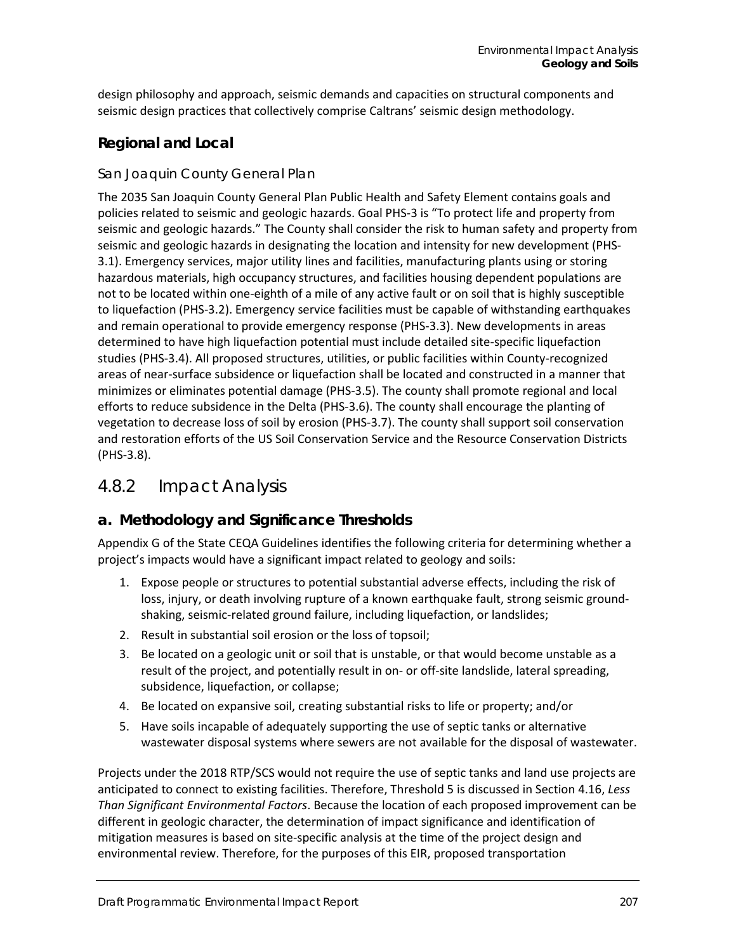design philosophy and approach, seismic demands and capacities on structural components and seismic design practices that collectively comprise Caltrans' seismic design methodology.

## **Regional and Local**

### *San Joaquin County General Plan*

The 2035 San Joaquin County General Plan Public Health and Safety Element contains goals and policies related to seismic and geologic hazards. Goal PHS-3 is "To protect life and property from seismic and geologic hazards." The County shall consider the risk to human safety and property from seismic and geologic hazards in designating the location and intensity for new development (PHS-3.1). Emergency services, major utility lines and facilities, manufacturing plants using or storing hazardous materials, high occupancy structures, and facilities housing dependent populations are not to be located within one-eighth of a mile of any active fault or on soil that is highly susceptible to liquefaction (PHS-3.2). Emergency service facilities must be capable of withstanding earthquakes and remain operational to provide emergency response (PHS-3.3). New developments in areas determined to have high liquefaction potential must include detailed site-specific liquefaction studies (PHS-3.4). All proposed structures, utilities, or public facilities within County-recognized areas of near-surface subsidence or liquefaction shall be located and constructed in a manner that minimizes or eliminates potential damage (PHS-3.5). The county shall promote regional and local efforts to reduce subsidence in the Delta (PHS-3.6). The county shall encourage the planting of vegetation to decrease loss of soil by erosion (PHS-3.7). The county shall support soil conservation and restoration efforts of the US Soil Conservation Service and the Resource Conservation Districts (PHS-3.8).

## 4.8.2 Impact Analysis

## **a. Methodology and Significance Thresholds**

Appendix G of the State CEQA Guidelines identifies the following criteria for determining whether a project's impacts would have a significant impact related to geology and soils:

- 1. Expose people or structures to potential substantial adverse effects, including the risk of loss, injury, or death involving rupture of a known earthquake fault, strong seismic groundshaking, seismic-related ground failure, including liquefaction, or landslides;
- 2. Result in substantial soil erosion or the loss of topsoil;
- 3. Be located on a geologic unit or soil that is unstable, or that would become unstable as a result of the project, and potentially result in on- or off-site landslide, lateral spreading, subsidence, liquefaction, or collapse;
- 4. Be located on expansive soil, creating substantial risks to life or property; and/or
- 5. Have soils incapable of adequately supporting the use of septic tanks or alternative wastewater disposal systems where sewers are not available for the disposal of wastewater.

Projects under the 2018 RTP/SCS would not require the use of septic tanks and land use projects are anticipated to connect to existing facilities. Therefore, Threshold 5 is discussed in Section 4.16, *Less Than Significant Environmental Factors*. Because the location of each proposed improvement can be different in geologic character, the determination of impact significance and identification of mitigation measures is based on site-specific analysis at the time of the project design and environmental review. Therefore, for the purposes of this EIR, proposed transportation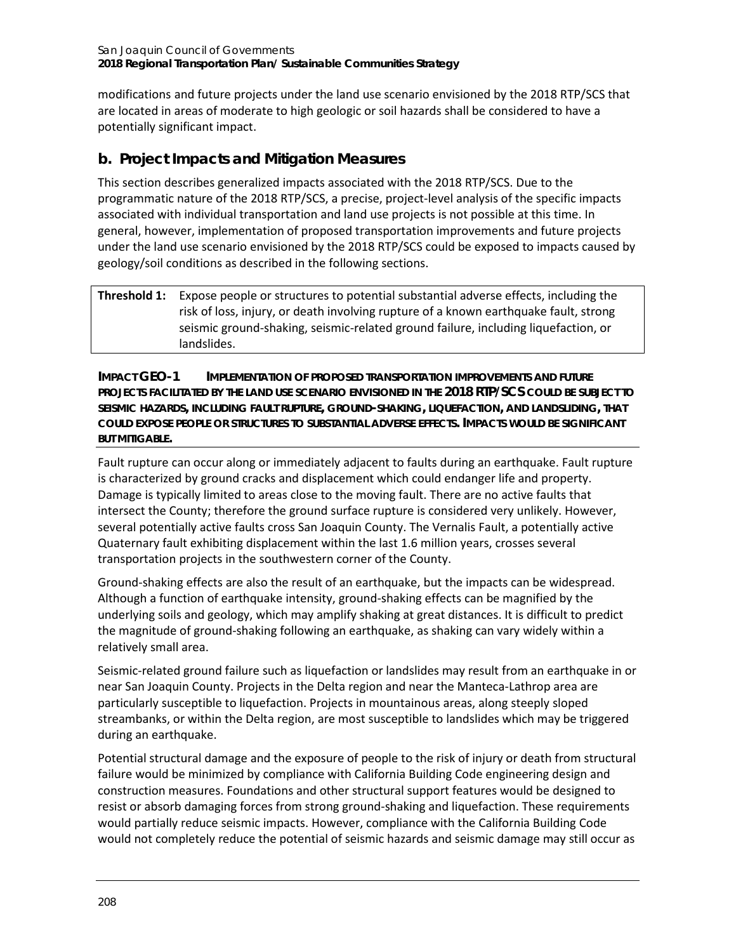modifications and future projects under the land use scenario envisioned by the 2018 RTP/SCS that are located in areas of moderate to high geologic or soil hazards shall be considered to have a potentially significant impact.

## **b. Project Impacts and Mitigation Measures**

This section describes generalized impacts associated with the 2018 RTP/SCS. Due to the programmatic nature of the 2018 RTP/SCS, a precise, project-level analysis of the specific impacts associated with individual transportation and land use projects is not possible at this time. In general, however, implementation of proposed transportation improvements and future projects under the land use scenario envisioned by the 2018 RTP/SCS could be exposed to impacts caused by geology/soil conditions as described in the following sections.

### **Threshold 1:** Expose people or structures to potential substantial adverse effects, including the risk of loss, injury, or death involving rupture of a known earthquake fault, strong seismic ground-shaking, seismic-related ground failure, including liquefaction, or landslides.

**IMPACT GEO-1 IMPLEMENTATION OF PROPOSED TRANSPORTATION IMPROVEMENTS AND FUTURE PROJECTS FACILITATED BY THE LAND USE SCENARIO ENVISIONED IN THE 2018 RTP/SCS COULD BE SUBJECT TO SEISMIC HAZARDS, INCLUDING FAULT RUPTURE, GROUND-SHAKING, LIQUEFACTION, AND LANDSLIDING, THAT COULD EXPOSE PEOPLE OR STRUCTURES TO SUBSTANTIAL ADVERSE EFFECTS. IMPACTS WOULD BE SIGNIFICANT BUT MITIGABLE.**

Fault rupture can occur along or immediately adjacent to faults during an earthquake. Fault rupture is characterized by ground cracks and displacement which could endanger life and property. Damage is typically limited to areas close to the moving fault. There are no active faults that intersect the County; therefore the ground surface rupture is considered very unlikely. However, several potentially active faults cross San Joaquin County. The Vernalis Fault, a potentially active Quaternary fault exhibiting displacement within the last 1.6 million years, crosses several transportation projects in the southwestern corner of the County.

Ground-shaking effects are also the result of an earthquake, but the impacts can be widespread. Although a function of earthquake intensity, ground-shaking effects can be magnified by the underlying soils and geology, which may amplify shaking at great distances. It is difficult to predict the magnitude of ground-shaking following an earthquake, as shaking can vary widely within a relatively small area.

Seismic-related ground failure such as liquefaction or landslides may result from an earthquake in or near San Joaquin County. Projects in the Delta region and near the Manteca-Lathrop area are particularly susceptible to liquefaction. Projects in mountainous areas, along steeply sloped streambanks, or within the Delta region, are most susceptible to landslides which may be triggered during an earthquake.

Potential structural damage and the exposure of people to the risk of injury or death from structural failure would be minimized by compliance with California Building Code engineering design and construction measures. Foundations and other structural support features would be designed to resist or absorb damaging forces from strong ground-shaking and liquefaction. These requirements would partially reduce seismic impacts. However, compliance with the California Building Code would not completely reduce the potential of seismic hazards and seismic damage may still occur as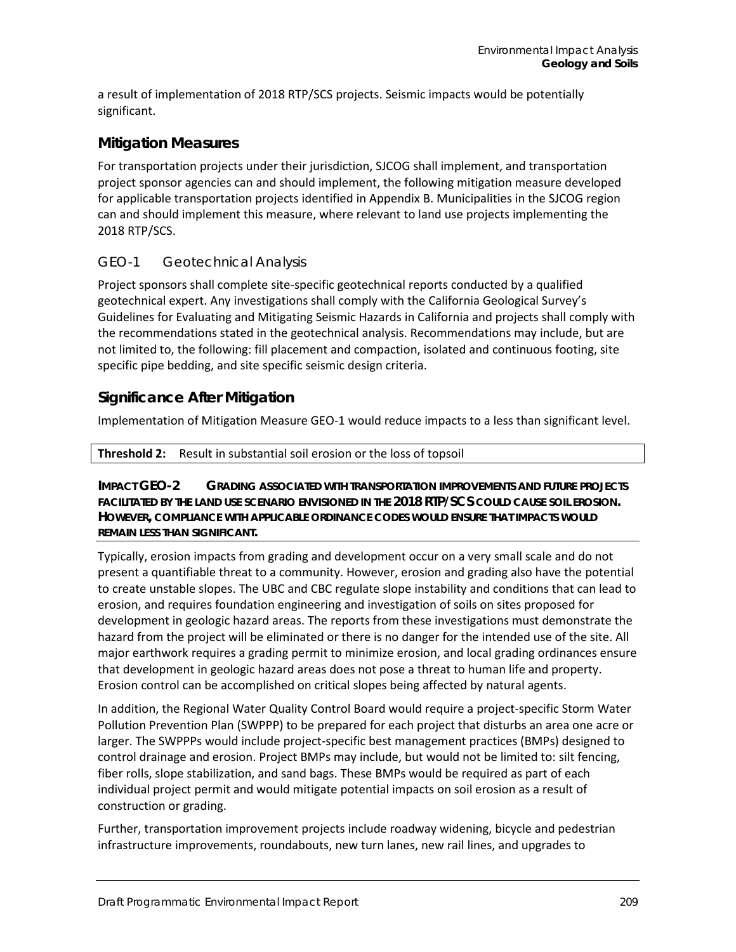a result of implementation of 2018 RTP/SCS projects. Seismic impacts would be potentially significant.

### **Mitigation Measures**

For transportation projects under their jurisdiction, SJCOG shall implement, and transportation project sponsor agencies can and should implement, the following mitigation measure developed for applicable transportation projects identified in Appendix B. Municipalities in the SJCOG region can and should implement this measure, where relevant to land use projects implementing the 2018 RTP/SCS.

### *GEO-1 Geotechnical Analysis*

Project sponsors shall complete site-specific geotechnical reports conducted by a qualified geotechnical expert. Any investigations shall comply with the California Geological Survey's Guidelines for Evaluating and Mitigating Seismic Hazards in California and projects shall comply with the recommendations stated in the geotechnical analysis. Recommendations may include, but are not limited to, the following: fill placement and compaction, isolated and continuous footing, site specific pipe bedding, and site specific seismic design criteria.

### **Significance After Mitigation**

Implementation of Mitigation Measure GEO-1 would reduce impacts to a less than significant level.

#### **Threshold 2:** Result in substantial soil erosion or the loss of topsoil

**IMPACT GEO-2 GRADING ASSOCIATED WITH TRANSPORTATION IMPROVEMENTS AND FUTURE PROJECTS FACILITATED BY THE LAND USE SCENARIO ENVISIONED IN THE 2018 RTP/SCS COULD CAUSE SOIL EROSION. HOWEVER, COMPLIANCE WITH APPLICABLE ORDINANCE CODES WOULD ENSURE THAT IMPACTS WOULD REMAIN LESS THAN SIGNIFICANT.**

Typically, erosion impacts from grading and development occur on a very small scale and do not present a quantifiable threat to a community. However, erosion and grading also have the potential to create unstable slopes. The UBC and CBC regulate slope instability and conditions that can lead to erosion, and requires foundation engineering and investigation of soils on sites proposed for development in geologic hazard areas. The reports from these investigations must demonstrate the hazard from the project will be eliminated or there is no danger for the intended use of the site. All major earthwork requires a grading permit to minimize erosion, and local grading ordinances ensure that development in geologic hazard areas does not pose a threat to human life and property. Erosion control can be accomplished on critical slopes being affected by natural agents.

In addition, the Regional Water Quality Control Board would require a project-specific Storm Water Pollution Prevention Plan (SWPPP) to be prepared for each project that disturbs an area one acre or larger. The SWPPPs would include project-specific best management practices (BMPs) designed to control drainage and erosion. Project BMPs may include, but would not be limited to: silt fencing, fiber rolls, slope stabilization, and sand bags. These BMPs would be required as part of each individual project permit and would mitigate potential impacts on soil erosion as a result of construction or grading.

Further, transportation improvement projects include roadway widening, bicycle and pedestrian infrastructure improvements, roundabouts, new turn lanes, new rail lines, and upgrades to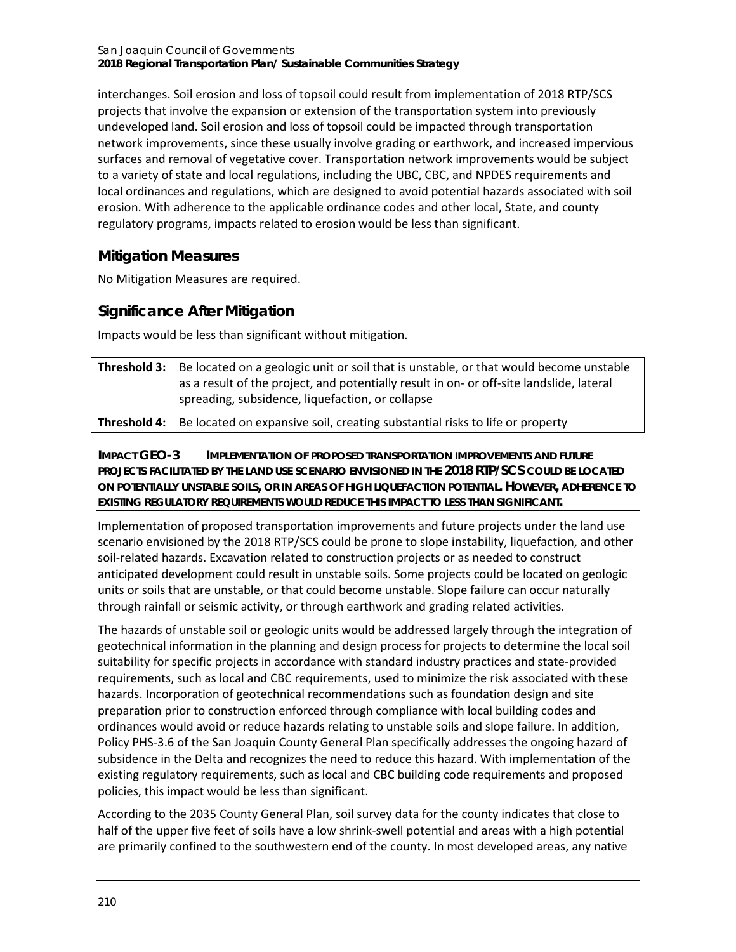San Joaquin Council of Governments **2018 Regional Transportation Plan/ Sustainable Communities Strategy**

interchanges. Soil erosion and loss of topsoil could result from implementation of 2018 RTP/SCS projects that involve the expansion or extension of the transportation system into previously undeveloped land. Soil erosion and loss of topsoil could be impacted through transportation network improvements, since these usually involve grading or earthwork, and increased impervious surfaces and removal of vegetative cover. Transportation network improvements would be subject to a variety of state and local regulations, including the UBC, CBC, and NPDES requirements and local ordinances and regulations, which are designed to avoid potential hazards associated with soil erosion. With adherence to the applicable ordinance codes and other local, State, and county regulatory programs, impacts related to erosion would be less than significant.

## **Mitigation Measures**

No Mitigation Measures are required.

## **Significance After Mitigation**

Impacts would be less than significant without mitigation.

| <b>Threshold 3:</b> Be located on a geologic unit or soil that is unstable, or that would become unstable |
|-----------------------------------------------------------------------------------------------------------|
| as a result of the project, and potentially result in on- or off-site landslide, lateral                  |
| spreading, subsidence, liquefaction, or collapse                                                          |

**Threshold 4:** Be located on expansive soil, creating substantial risks to life or property

**IMPACT GEO-3 IMPLEMENTATION OF PROPOSED TRANSPORTATION IMPROVEMENTS AND FUTURE PROJECTS FACILITATED BY THE LAND USE SCENARIO ENVISIONED IN THE 2018 RTP/SCS COULD BE LOCATED ON POTENTIALLY UNSTABLE SOILS, OR IN AREAS OF HIGH LIQUEFACTION POTENTIAL. HOWEVER, ADHERENCE TO EXISTING REGULATORY REQUIREMENTS WOULD REDUCE THIS IMPACT TO LESS THAN SIGNIFICANT.**

Implementation of proposed transportation improvements and future projects under the land use scenario envisioned by the 2018 RTP/SCS could be prone to slope instability, liquefaction, and other soil-related hazards. Excavation related to construction projects or as needed to construct anticipated development could result in unstable soils. Some projects could be located on geologic units or soils that are unstable, or that could become unstable. Slope failure can occur naturally through rainfall or seismic activity, or through earthwork and grading related activities.

The hazards of unstable soil or geologic units would be addressed largely through the integration of geotechnical information in the planning and design process for projects to determine the local soil suitability for specific projects in accordance with standard industry practices and state-provided requirements, such as local and CBC requirements, used to minimize the risk associated with these hazards. Incorporation of geotechnical recommendations such as foundation design and site preparation prior to construction enforced through compliance with local building codes and ordinances would avoid or reduce hazards relating to unstable soils and slope failure. In addition, Policy PHS-3.6 of the San Joaquin County General Plan specifically addresses the ongoing hazard of subsidence in the Delta and recognizes the need to reduce this hazard. With implementation of the existing regulatory requirements, such as local and CBC building code requirements and proposed policies, this impact would be less than significant.

According to the 2035 County General Plan, soil survey data for the county indicates that close to half of the upper five feet of soils have a low shrink-swell potential and areas with a high potential are primarily confined to the southwestern end of the county. In most developed areas, any native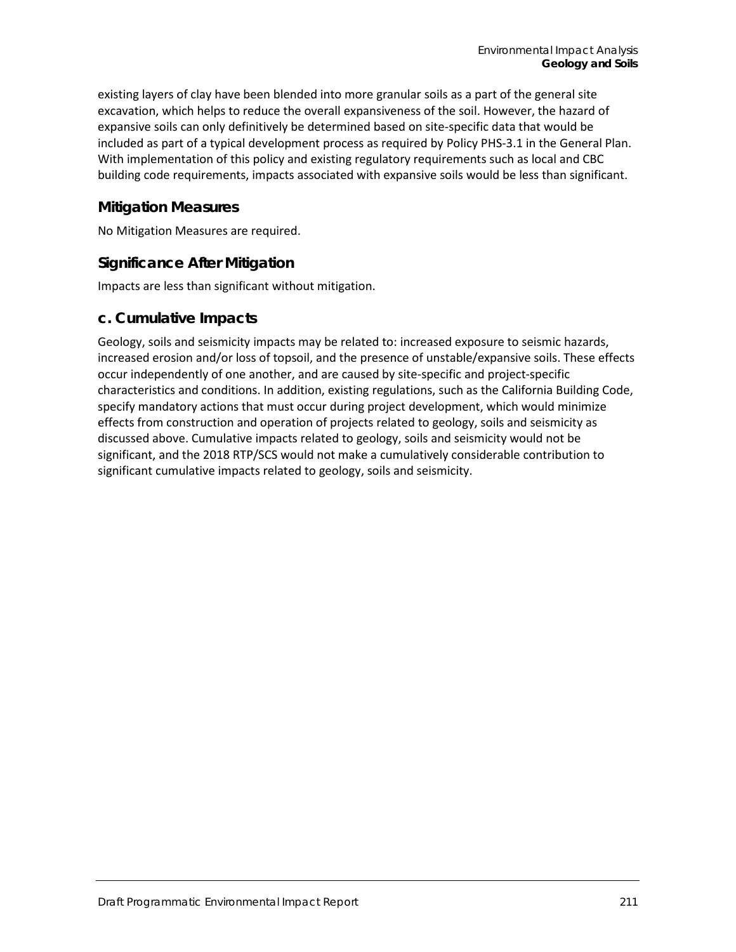existing layers of clay have been blended into more granular soils as a part of the general site excavation, which helps to reduce the overall expansiveness of the soil. However, the hazard of expansive soils can only definitively be determined based on site-specific data that would be included as part of a typical development process as required by Policy PHS-3.1 in the General Plan. With implementation of this policy and existing regulatory requirements such as local and CBC building code requirements, impacts associated with expansive soils would be less than significant.

### **Mitigation Measures**

No Mitigation Measures are required.

## **Significance After Mitigation**

Impacts are less than significant without mitigation.

### **c. Cumulative Impacts**

Geology, soils and seismicity impacts may be related to: increased exposure to seismic hazards, increased erosion and/or loss of topsoil, and the presence of unstable/expansive soils. These effects occur independently of one another, and are caused by site-specific and project-specific characteristics and conditions. In addition, existing regulations, such as the California Building Code, specify mandatory actions that must occur during project development, which would minimize effects from construction and operation of projects related to geology, soils and seismicity as discussed above. Cumulative impacts related to geology, soils and seismicity would not be significant, and the 2018 RTP/SCS would not make a cumulatively considerable contribution to significant cumulative impacts related to geology, soils and seismicity.